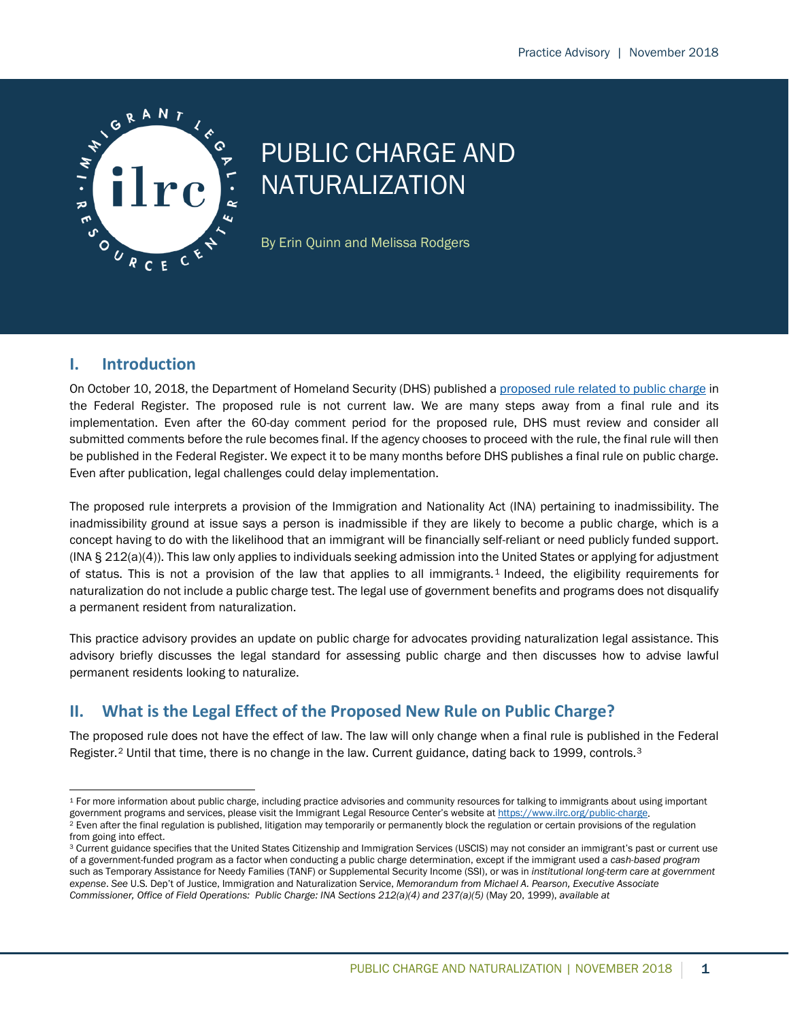

# PUBLIC CHARGE AND NATURALIZATION

By Erin Quinn and Melissa Rodgers

## **I. Introduction**

On October 10, 2018, the Department of Homeland Security (DHS) published a [proposed rule related to public charge](https://www.federalregister.gov/documents/2018/10/10/2018-21106/inadmissibility-on-public-charge-grounds) in the Federal Register. The proposed rule is not current law. We are many steps away from a final rule and its implementation. Even after the 60-day comment period for the proposed rule, DHS must review and consider all submitted comments before the rule becomes final. If the agency chooses to proceed with the rule, the final rule will then be published in the Federal Register. We expect it to be many months before DHS publishes a final rule on public charge. Even after publication, legal challenges could delay implementation.

The proposed rule interprets a provision of the Immigration and Nationality Act (INA) pertaining to inadmissibility. The inadmissibility ground at issue says a person is inadmissible if they are likely to become a public charge, which is a concept having to do with the likelihood that an immigrant will be financially self-reliant or need publicly funded support. (INA § 212(a)(4)). This law only applies to individuals seeking admission into the United States or applying for adjustment of status. This is not a provision of the law that applies to all immigrants. [1](#page-0-0) Indeed, the eligibility requirements for naturalization do not include a public charge test. The legal use of government benefits and programs does not disqualify a permanent resident from naturalization.

This practice advisory provides an update on public charge for advocates providing naturalization legal assistance. This advisory briefly discusses the legal standard for assessing public charge and then discusses how to advise lawful permanent residents looking to naturalize.

# **II. What is the Legal Effect of the Proposed New Rule on Public Charge?**

The proposed rule does not have the effect of law. The law will only change when a final rule is published in the Federal Register.<sup>[2](#page-0-1)</sup> Until that time, there is no change in the law. Current guidance, dating back to 1999, controls.<sup>[3](#page-0-2)</sup>

<span id="page-0-0"></span><sup>&</sup>lt;sup>1</sup> For more information about public charge, including practice advisories and community resources for talking to immigrants about using important government programs and services, please visit the Immigrant Legal Resource Center's website a[t https://www.ilrc.org/public-charge.](https://www.ilrc.org/public-charge)

<span id="page-0-1"></span><sup>&</sup>lt;sup>2</sup> Even after the final regulation is published, litigation may temporarily or permanently block the regulation or certain provisions of the regulation from going into effect.

<span id="page-0-2"></span><sup>&</sup>lt;sup>3</sup> Current guidance specifies that the United States Citizenship and Immigration Services (USCIS) may not consider an immigrant's past or current use of a government-funded program as a factor when conducting a public charge determination, except if the immigrant used a *cash-based program* such as Temporary Assistance for Needy Families (TANF) or Supplemental Security Income (SSI), or was in *institutional long-term care at government expense*. *See* U.S. Dep't of Justice, Immigration and Naturalization Service, *Memorandum from Michael A. Pearson, Executive Associate Commissioner, Office of Field Operations: Public Charge: INA Sections 212(a)(4) and 237(a)(5)* (May 20, 1999), *available at*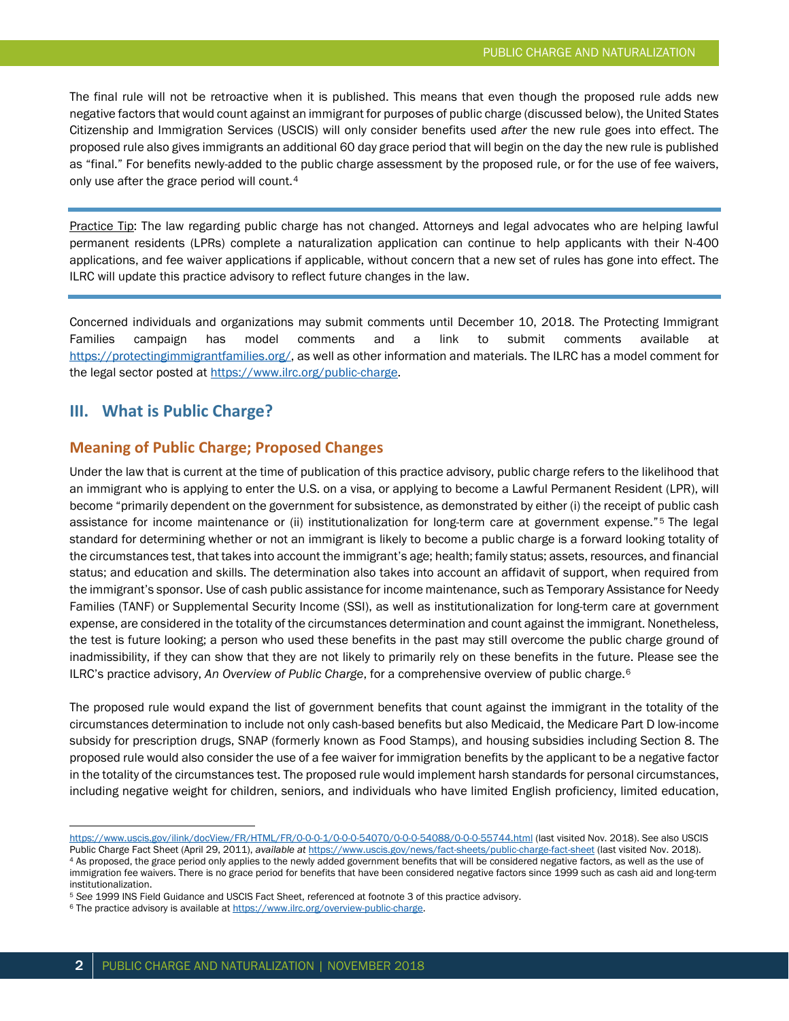The final rule will not be retroactive when it is published. This means that even though the proposed rule adds new negative factors that would count against an immigrant for purposes of public charge (discussed below), the United States Citizenship and Immigration Services (USCIS) will only consider benefits used *after* the new rule goes into effect. The proposed rule also gives immigrants an additional 60 day grace period that will begin on the day the new rule is published as "final." For benefits newly-added to the public charge assessment by the proposed rule, or for the use of fee waivers, only use after the grace period will count.<sup>[4](#page-1-0)</sup>

Practice Tip: The law regarding public charge has not changed. Attorneys and legal advocates who are helping lawful permanent residents (LPRs) complete a naturalization application can continue to help applicants with their N-400 applications, and fee waiver applications if applicable, without concern that a new set of rules has gone into effect. The ILRC will update this practice advisory to reflect future changes in the law.

Concerned individuals and organizations may submit comments until December 10, 2018. The Protecting Immigrant Families campaign has model comments and a link to submit comments available at [https://protectingimmigrantfamilies.org/,](https://protectingimmigrantfamilies.org/) as well as other information and materials. The ILRC has a model comment for the legal sector posted at [https://www.ilrc.org/public-charge.](https://www.ilrc.org/public-charge)

#### **III. What is Public Charge?**

#### **Meaning of Public Charge; Proposed Changes**

Under the law that is current at the time of publication of this practice advisory, public charge refers to the likelihood that an immigrant who is applying to enter the U.S. on a visa, or applying to become a Lawful Permanent Resident (LPR), will become "primarily dependent on the government for subsistence, as demonstrated by either (i) the receipt of public cash assistance for income maintenance or (ii) institutionalization for long-term care at government expense."[5](#page-1-1) The legal standard for determining whether or not an immigrant is likely to become a public charge is a forward looking totality of the circumstances test, that takes into account the immigrant's age; health; family status; assets, resources, and financial status; and education and skills. The determination also takes into account an affidavit of support, when required from the immigrant's sponsor. Use of cash public assistance for income maintenance, such as Temporary Assistance for Needy Families (TANF) or Supplemental Security Income (SSI), as well as institutionalization for long-term care at government expense, are considered in the totality of the circumstances determination and count against the immigrant. Nonetheless, the test is future looking; a person who used these benefits in the past may still overcome the public charge ground of inadmissibility, if they can show that they are not likely to primarily rely on these benefits in the future. Please see the ILRC's practice advisory, *An Overview of Public Charge*, for a comprehensive overview of public charge.[6](#page-1-2)

The proposed rule would expand the list of government benefits that count against the immigrant in the totality of the circumstances determination to include not only cash-based benefits but also Medicaid, the Medicare Part D low-income subsidy for prescription drugs, SNAP (formerly known as Food Stamps), and housing subsidies including Section 8. The proposed rule would also consider the use of a fee waiver for immigration benefits by the applicant to be a negative factor in the totality of the circumstances test. The proposed rule would implement harsh standards for personal circumstances, including negative weight for children, seniors, and individuals who have limited English proficiency, limited education,

<https://www.uscis.gov/ilink/docView/FR/HTML/FR/0-0-0-1/0-0-0-54070/0-0-0-54088/0-0-0-55744.html> (last visited Nov. 2018). See also USCIS

Public Charge Fact Sheet (April 29, 2011), *available at* <https://www.uscis.gov/news/fact-sheets/public-charge-fact-sheet> (last visited Nov. 2018). 4 As proposed, the grace period only applies to the newly added government benefits that will be considered negative factors, as well as the use of

<span id="page-1-0"></span>immigration fee waivers. There is no grace period for benefits that have been considered negative factors since 1999 such as cash aid and long-term institutionalization.

<span id="page-1-1"></span><sup>5</sup> *See* 1999 INS Field Guidance and USCIS Fact Sheet, referenced at footnote 3 of this practice advisory.

<span id="page-1-2"></span><sup>&</sup>lt;sup>6</sup> The practice advisory is available a[t https://www.ilrc.org/overview-public-charge.](https://www.ilrc.org/overview-public-charge)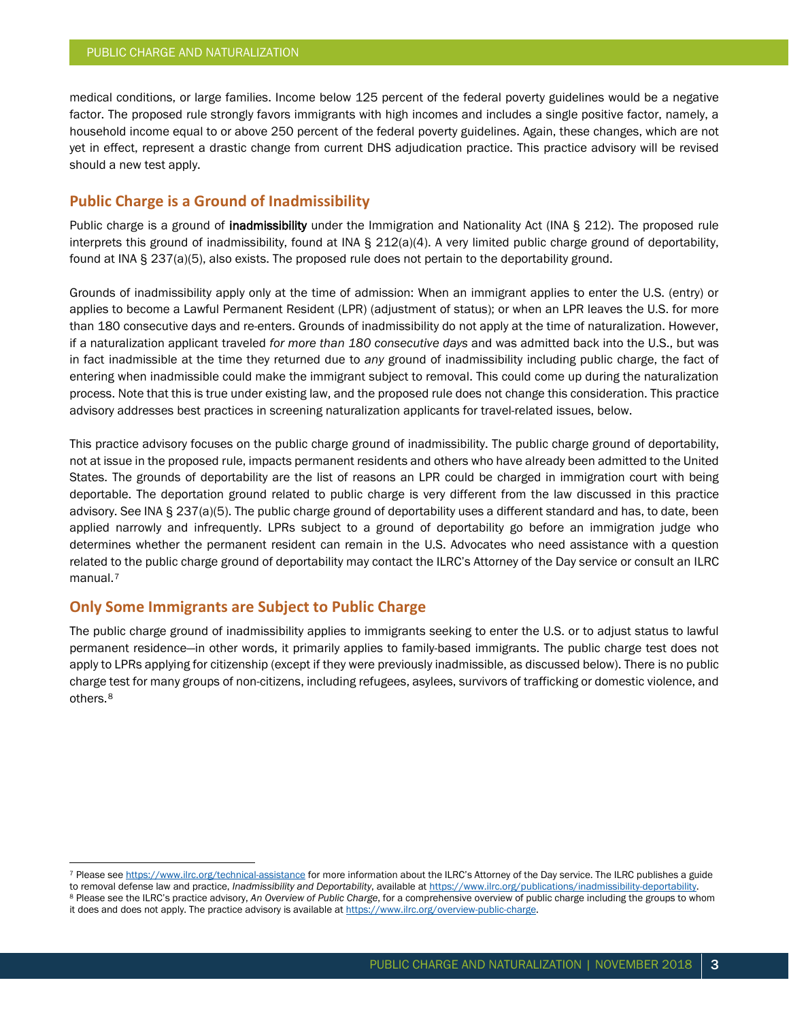medical conditions, or large families. Income below 125 percent of the federal poverty guidelines would be a negative factor. The proposed rule strongly favors immigrants with high incomes and includes a single positive factor, namely, a household income equal to or above 250 percent of the federal poverty guidelines. Again, these changes, which are not yet in effect, represent a drastic change from current DHS adjudication practice. This practice advisory will be revised should a new test apply.

## **Public Charge is a Ground of Inadmissibility**

Public charge is a ground of inadmissibility under the Immigration and Nationality Act (INA § 212). The proposed rule interprets this ground of inadmissibility, found at INA  $\Sigma$  212(a)(4). A very limited public charge ground of deportability, found at INA § 237(a)(5), also exists. The proposed rule does not pertain to the deportability ground.

Grounds of inadmissibility apply only at the time of admission: When an immigrant applies to enter the U.S. (entry) or applies to become a Lawful Permanent Resident (LPR) (adjustment of status); or when an LPR leaves the U.S. for more than 180 consecutive days and re-enters. Grounds of inadmissibility do not apply at the time of naturalization. However, if a naturalization applicant traveled *for more than 180 consecutive days* and was admitted back into the U.S., but was in fact inadmissible at the time they returned due to *any* ground of inadmissibility including public charge, the fact of entering when inadmissible could make the immigrant subject to removal. This could come up during the naturalization process. Note that this is true under existing law, and the proposed rule does not change this consideration. This practice advisory addresses best practices in screening naturalization applicants for travel-related issues, below.

This practice advisory focuses on the public charge ground of inadmissibility. The public charge ground of deportability, not at issue in the proposed rule, impacts permanent residents and others who have already been admitted to the United States. The grounds of deportability are the list of reasons an LPR could be charged in immigration court with being deportable. The deportation ground related to public charge is very different from the law discussed in this practice advisory. See INA § 237(a)(5). The public charge ground of deportability uses a different standard and has, to date, been applied narrowly and infrequently. LPRs subject to a ground of deportability go before an immigration judge who determines whether the permanent resident can remain in the U.S. Advocates who need assistance with a question related to the public charge ground of deportability may contact the ILRC's Attorney of the Day service or consult an ILRC manual.<sup>[7](#page-2-0)</sup>

## **Only Some Immigrants are Subject to Public Charge**

The public charge ground of inadmissibility applies to immigrants seeking to enter the U.S. or to adjust status to lawful permanent residence—in other words, it primarily applies to family-based immigrants. The public charge test does not apply to LPRs applying for citizenship (except if they were previously inadmissible, as discussed below). There is no public charge test for many groups of non-citizens, including refugees, asylees, survivors of trafficking or domestic violence, and others.[8](#page-2-1)

<span id="page-2-0"></span> <sup>7</sup> Please se[e https://www.ilrc.org/technical-assistance](https://www.ilrc.org/technical-assistance) for more information about the ILRC's Attorney of the Day service. The ILRC publishes a guide

<span id="page-2-1"></span>to removal defense law and practice, *Inadmissibility and Deportability*, available a[t https://www.ilrc.org/publications/inadmissibility-deportability.](https://www.ilrc.org/publications/inadmissibility-deportability) <sup>8</sup> Please see the ILRC's practice advisory, *An Overview of Public Charge*, for a comprehensive overview of public charge including the groups to whom it does and does not apply. The practice advisory is available a[t https://www.ilrc.org/overview-public-charge.](https://www.ilrc.org/overview-public-charge)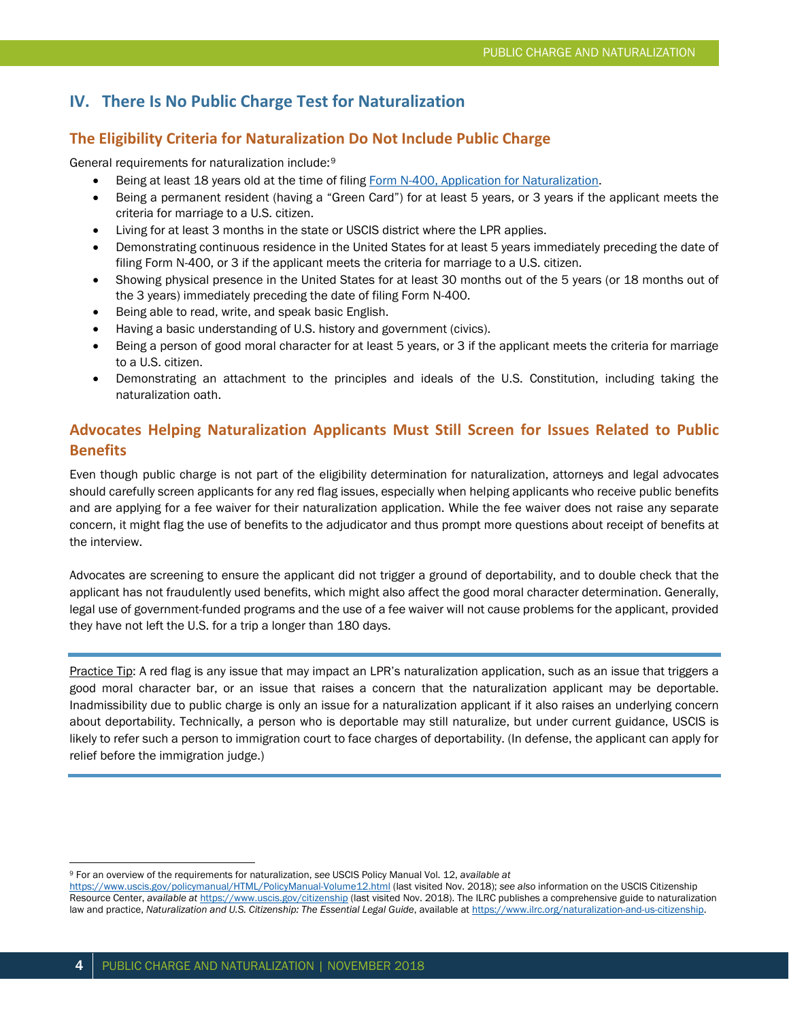# **IV. There Is No Public Charge Test for Naturalization**

#### **The Eligibility Criteria for Naturalization Do Not Include Public Charge**

General requirements for naturalization include:[9](#page-3-0)

- Being at least 18 years old at the time of filin[g Form N-400, Application for Naturalization.](https://www.uscis.gov/node/41239)
- Being a permanent resident (having a "Green Card") for at least 5 years, or 3 years if the applicant meets the criteria for marriage to a U.S. citizen.
- Living for at least 3 months in the state or USCIS district where the LPR applies.
- Demonstrating continuous residence in the United States for at least 5 years immediately preceding the date of filing Form N-400, or 3 if the applicant meets the criteria for marriage to a U.S. citizen.
- Showing physical presence in the United States for at least 30 months out of the 5 years (or 18 months out of the 3 years) immediately preceding the date of filing Form N-400.
- Being able to read, write, and speak basic English.
- Having a basic understanding of U.S. history and government (civics).
- Being a person of good moral character for at least 5 years, or 3 if the applicant meets the criteria for marriage to a U.S. citizen.
- Demonstrating an attachment to the principles and ideals of the U.S. Constitution, including taking the naturalization oath.

# **Advocates Helping Naturalization Applicants Must Still Screen for Issues Related to Public Benefits**

Even though public charge is not part of the eligibility determination for naturalization, attorneys and legal advocates should carefully screen applicants for any red flag issues, especially when helping applicants who receive public benefits and are applying for a fee waiver for their naturalization application. While the fee waiver does not raise any separate concern, it might flag the use of benefits to the adjudicator and thus prompt more questions about receipt of benefits at the interview.

Advocates are screening to ensure the applicant did not trigger a ground of deportability, and to double check that the applicant has not fraudulently used benefits, which might also affect the good moral character determination. Generally, legal use of government-funded programs and the use of a fee waiver will not cause problems for the applicant, provided they have not left the U.S. for a trip a longer than 180 days.

Practice Tip: A red flag is any issue that may impact an LPR's naturalization application, such as an issue that triggers a good moral character bar, or an issue that raises a concern that the naturalization applicant may be deportable. Inadmissibility due to public charge is only an issue for a naturalization applicant if it also raises an underlying concern about deportability. Technically, a person who is deportable may still naturalize, but under current guidance, USCIS is likely to refer such a person to immigration court to face charges of deportability. (In defense, the applicant can apply for relief before the immigration judge.)

<span id="page-3-0"></span> <sup>9</sup> For an overview of the requirements for naturalization, *see* USCIS Policy Manual Vol. 12, *available at* 

<https://www.uscis.gov/policymanual/HTML/PolicyManual-Volume12.html> (last visited Nov. 2018); *see also* information on the USCIS Citizenship Resource Center, *available at* <https://www.uscis.gov/citizenship> (last visited Nov. 2018). The ILRC publishes a comprehensive guide to naturalization law and practice, Naturalization and U.S. Citizenship: The Essential Legal Guide, available at https://www.ilrc.org/naturalization-and-us-citizenship.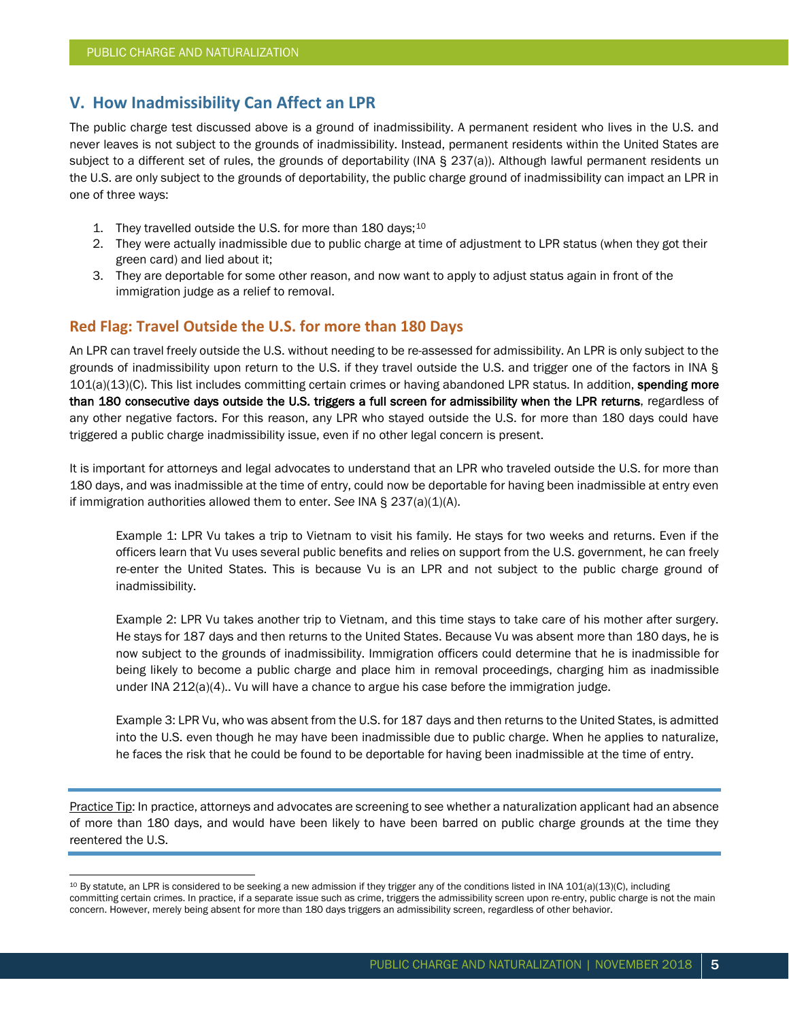# **V. How Inadmissibility Can Affect an LPR**

The public charge test discussed above is a ground of inadmissibility. A permanent resident who lives in the U.S. and never leaves is not subject to the grounds of inadmissibility. Instead, permanent residents within the United States are subject to a different set of rules, the grounds of deportability (INA § 237(a)). Although lawful permanent residents un the U.S. are only subject to the grounds of deportability, the public charge ground of inadmissibility can impact an LPR in one of three ways:

- 1. They travelled outside the U.S. for more than 180 days;<sup>[10](#page-4-0)</sup>
- 2. They were actually inadmissible due to public charge at time of adjustment to LPR status (when they got their green card) and lied about it;
- 3. They are deportable for some other reason, and now want to apply to adjust status again in front of the immigration judge as a relief to removal.

#### **Red Flag: Travel Outside the U.S. for more than 180 Days**

An LPR can travel freely outside the U.S. without needing to be re-assessed for admissibility. An LPR is only subject to the grounds of inadmissibility upon return to the U.S. if they travel outside the U.S. and trigger one of the factors in INA § 101(a)(13)(C). This list includes committing certain crimes or having abandoned LPR status. In addition, spending more than 180 consecutive days outside the U.S. triggers a full screen for admissibility when the LPR returns, regardless of any other negative factors. For this reason, any LPR who stayed outside the U.S. for more than 180 days could have triggered a public charge inadmissibility issue, even if no other legal concern is present.

It is important for attorneys and legal advocates to understand that an LPR who traveled outside the U.S. for more than 180 days, and was inadmissible at the time of entry, could now be deportable for having been inadmissible at entry even if immigration authorities allowed them to enter. *See* INA § 237(a)(1)(A).

Example 1: LPR Vu takes a trip to Vietnam to visit his family. He stays for two weeks and returns. Even if the officers learn that Vu uses several public benefits and relies on support from the U.S. government, he can freely re-enter the United States. This is because Vu is an LPR and not subject to the public charge ground of inadmissibility.

Example 2: LPR Vu takes another trip to Vietnam, and this time stays to take care of his mother after surgery. He stays for 187 days and then returns to the United States. Because Vu was absent more than 180 days, he is now subject to the grounds of inadmissibility. Immigration officers could determine that he is inadmissible for being likely to become a public charge and place him in removal proceedings, charging him as inadmissible under INA 212(a)(4).. Vu will have a chance to argue his case before the immigration judge.

Example 3: LPR Vu, who was absent from the U.S. for 187 days and then returns to the United States, is admitted into the U.S. even though he may have been inadmissible due to public charge. When he applies to naturalize, he faces the risk that he could be found to be deportable for having been inadmissible at the time of entry.

Practice Tip: In practice, attorneys and advocates are screening to see whether a naturalization applicant had an absence of more than 180 days, and would have been likely to have been barred on public charge grounds at the time they reentered the U.S.

<span id="page-4-0"></span><sup>&</sup>lt;sup>10</sup> By statute, an LPR is considered to be seeking a new admission if they trigger any of the conditions listed in INA 101(a)(13)(C), including committing certain crimes. In practice, if a separate issue such as crime, triggers the admissibility screen upon re-entry, public charge is not the main concern. However, merely being absent for more than 180 days triggers an admissibility screen, regardless of other behavior.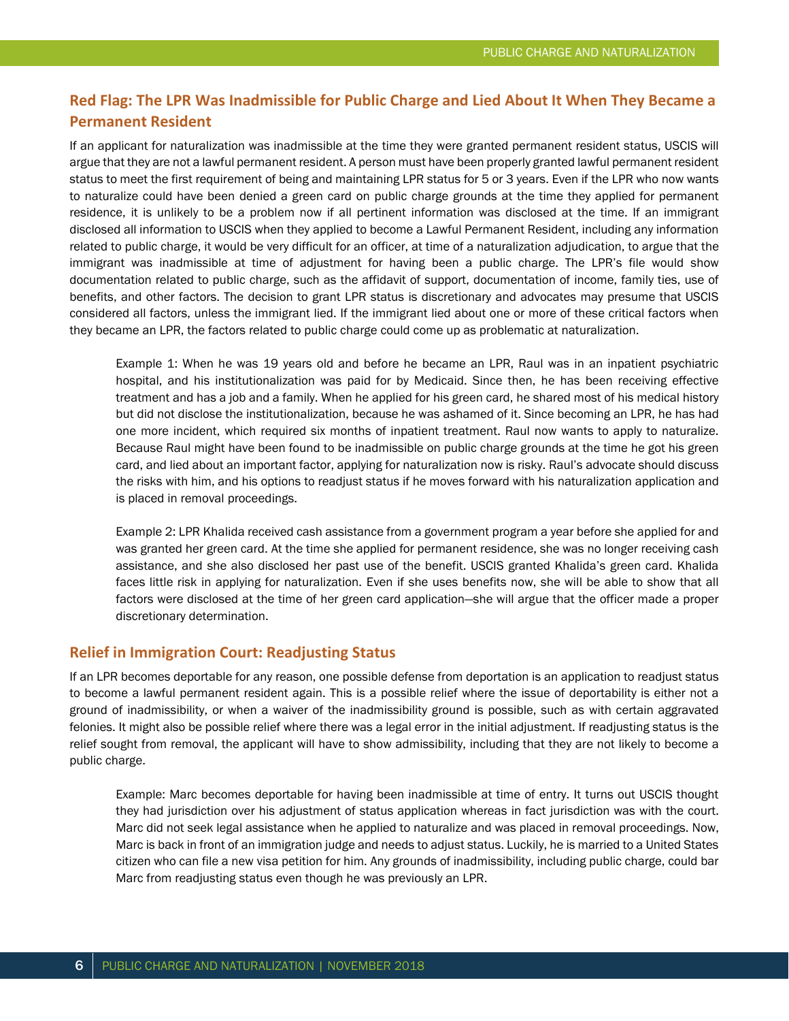# **Red Flag: The LPR Was Inadmissible for Public Charge and Lied About It When They Became a Permanent Resident**

If an applicant for naturalization was inadmissible at the time they were granted permanent resident status, USCIS will argue that they are not a lawful permanent resident. A person must have been properly granted lawful permanent resident status to meet the first requirement of being and maintaining LPR status for 5 or 3 years. Even if the LPR who now wants to naturalize could have been denied a green card on public charge grounds at the time they applied for permanent residence, it is unlikely to be a problem now if all pertinent information was disclosed at the time. If an immigrant disclosed all information to USCIS when they applied to become a Lawful Permanent Resident, including any information related to public charge, it would be very difficult for an officer, at time of a naturalization adjudication, to argue that the immigrant was inadmissible at time of adjustment for having been a public charge. The LPR's file would show documentation related to public charge, such as the affidavit of support, documentation of income, family ties, use of benefits, and other factors. The decision to grant LPR status is discretionary and advocates may presume that USCIS considered all factors, unless the immigrant lied. If the immigrant lied about one or more of these critical factors when they became an LPR, the factors related to public charge could come up as problematic at naturalization.

Example 1: When he was 19 years old and before he became an LPR, Raul was in an inpatient psychiatric hospital, and his institutionalization was paid for by Medicaid. Since then, he has been receiving effective treatment and has a job and a family. When he applied for his green card, he shared most of his medical history but did not disclose the institutionalization, because he was ashamed of it. Since becoming an LPR, he has had one more incident, which required six months of inpatient treatment. Raul now wants to apply to naturalize. Because Raul might have been found to be inadmissible on public charge grounds at the time he got his green card, and lied about an important factor, applying for naturalization now is risky. Raul's advocate should discuss the risks with him, and his options to readjust status if he moves forward with his naturalization application and is placed in removal proceedings.

Example 2: LPR Khalida received cash assistance from a government program a year before she applied for and was granted her green card. At the time she applied for permanent residence, she was no longer receiving cash assistance, and she also disclosed her past use of the benefit. USCIS granted Khalida's green card. Khalida faces little risk in applying for naturalization. Even if she uses benefits now, she will be able to show that all factors were disclosed at the time of her green card application—she will argue that the officer made a proper discretionary determination.

#### **Relief in Immigration Court: Readjusting Status**

If an LPR becomes deportable for any reason, one possible defense from deportation is an application to readjust status to become a lawful permanent resident again. This is a possible relief where the issue of deportability is either not a ground of inadmissibility, or when a waiver of the inadmissibility ground is possible, such as with certain aggravated felonies. It might also be possible relief where there was a legal error in the initial adjustment. If readjusting status is the relief sought from removal, the applicant will have to show admissibility, including that they are not likely to become a public charge.

Example: Marc becomes deportable for having been inadmissible at time of entry. It turns out USCIS thought they had jurisdiction over his adjustment of status application whereas in fact jurisdiction was with the court. Marc did not seek legal assistance when he applied to naturalize and was placed in removal proceedings. Now, Marc is back in front of an immigration judge and needs to adjust status. Luckily, he is married to a United States citizen who can file a new visa petition for him. Any grounds of inadmissibility, including public charge, could bar Marc from readjusting status even though he was previously an LPR.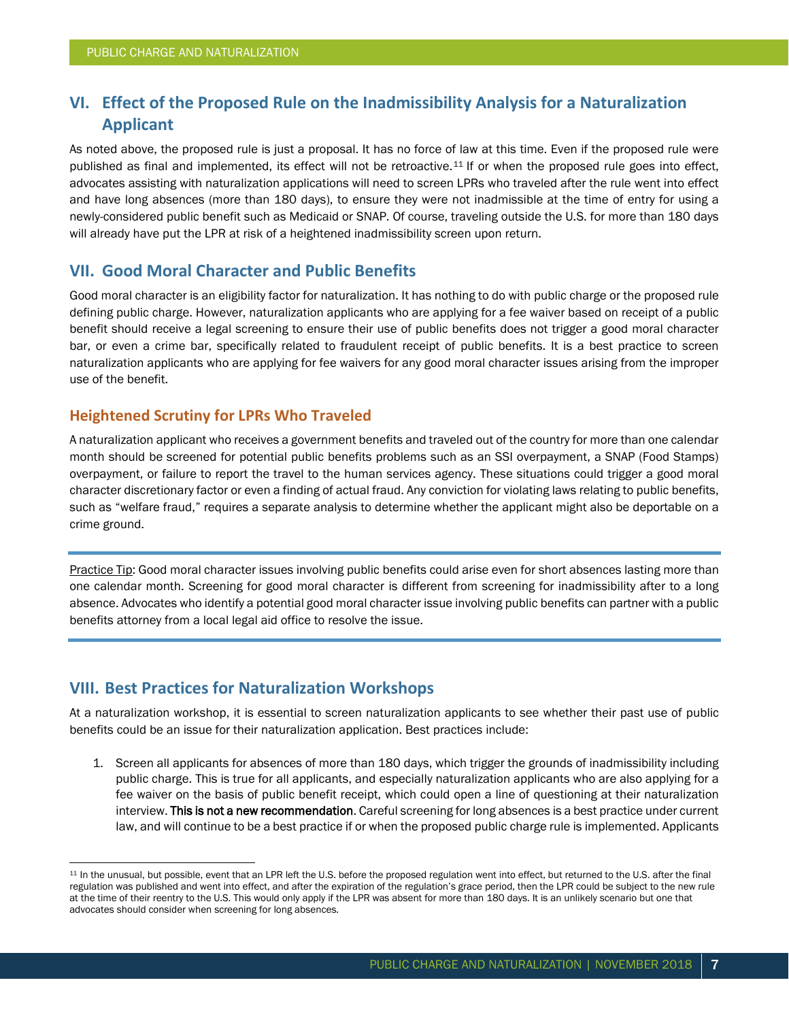# **VI. Effect of the Proposed Rule on the Inadmissibility Analysis for a Naturalization Applicant**

As noted above, the proposed rule is just a proposal. It has no force of law at this time. Even if the proposed rule were published as final and implemented, its effect will not be retroactive.<sup>[11](#page-6-0)</sup> If or when the proposed rule goes into effect, advocates assisting with naturalization applications will need to screen LPRs who traveled after the rule went into effect and have long absences (more than 180 days), to ensure they were not inadmissible at the time of entry for using a newly-considered public benefit such as Medicaid or SNAP. Of course, traveling outside the U.S. for more than 180 days will already have put the LPR at risk of a heightened inadmissibility screen upon return.

# **VII. Good Moral Character and Public Benefits**

Good moral character is an eligibility factor for naturalization. It has nothing to do with public charge or the proposed rule defining public charge. However, naturalization applicants who are applying for a fee waiver based on receipt of a public benefit should receive a legal screening to ensure their use of public benefits does not trigger a good moral character bar, or even a crime bar, specifically related to fraudulent receipt of public benefits. It is a best practice to screen naturalization applicants who are applying for fee waivers for any good moral character issues arising from the improper use of the benefit.

#### **Heightened Scrutiny for LPRs Who Traveled**

A naturalization applicant who receives a government benefits and traveled out of the country for more than one calendar month should be screened for potential public benefits problems such as an SSI overpayment, a SNAP (Food Stamps) overpayment, or failure to report the travel to the human services agency. These situations could trigger a good moral character discretionary factor or even a finding of actual fraud. Any conviction for violating laws relating to public benefits, such as "welfare fraud," requires a separate analysis to determine whether the applicant might also be deportable on a crime ground.

Practice Tip: Good moral character issues involving public benefits could arise even for short absences lasting more than one calendar month. Screening for good moral character is different from screening for inadmissibility after to a long absence. Advocates who identify a potential good moral character issue involving public benefits can partner with a public benefits attorney from a local legal aid office to resolve the issue.

# **VIII. Best Practices for Naturalization Workshops**

At a naturalization workshop, it is essential to screen naturalization applicants to see whether their past use of public benefits could be an issue for their naturalization application. Best practices include:

1. Screen all applicants for absences of more than 180 days, which trigger the grounds of inadmissibility including public charge. This is true for all applicants, and especially naturalization applicants who are also applying for a fee waiver on the basis of public benefit receipt, which could open a line of questioning at their naturalization interview. This is not a new recommendation. Careful screening for long absences is a best practice under current law, and will continue to be a best practice if or when the proposed public charge rule is implemented. Applicants

<span id="page-6-0"></span><sup>&</sup>lt;sup>11</sup> In the unusual, but possible, event that an LPR left the U.S. before the proposed regulation went into effect, but returned to the U.S. after the final regulation was published and went into effect, and after the expiration of the regulation's grace period, then the LPR could be subject to the new rule at the time of their reentry to the U.S. This would only apply if the LPR was absent for more than 180 days. It is an unlikely scenario but one that advocates should consider when screening for long absences.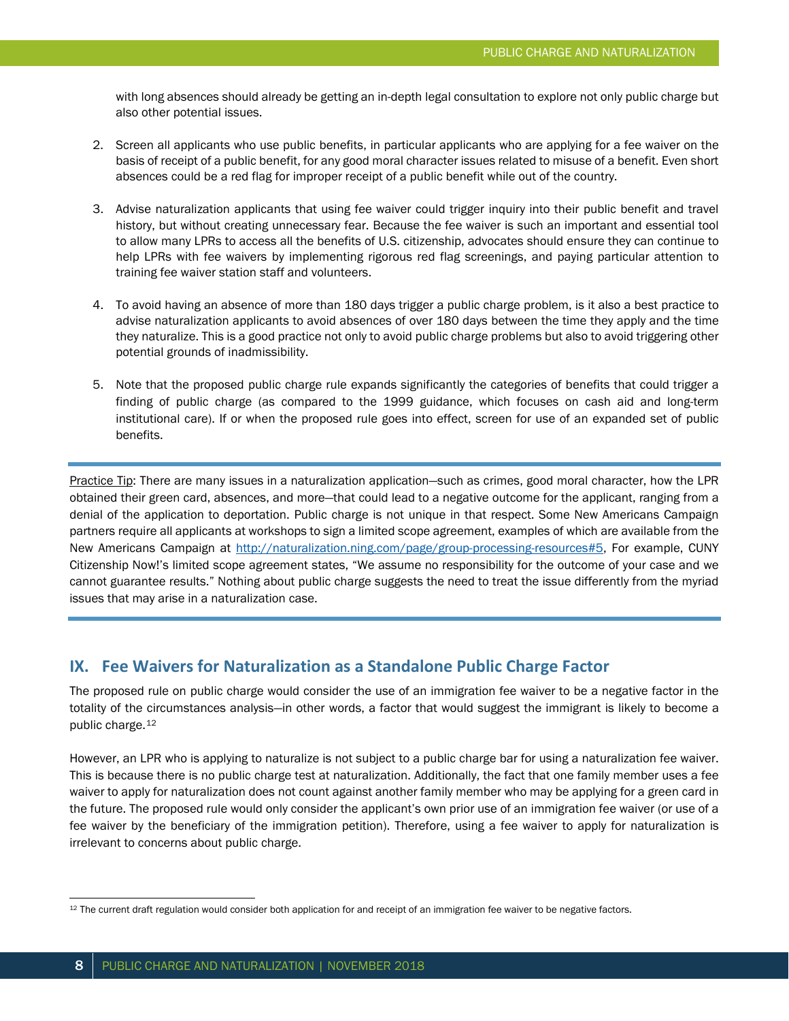with long absences should already be getting an in-depth legal consultation to explore not only public charge but also other potential issues.

- 2. Screen all applicants who use public benefits, in particular applicants who are applying for a fee waiver on the basis of receipt of a public benefit, for any good moral character issues related to misuse of a benefit. Even short absences could be a red flag for improper receipt of a public benefit while out of the country.
- 3. Advise naturalization applicants that using fee waiver could trigger inquiry into their public benefit and travel history, but without creating unnecessary fear. Because the fee waiver is such an important and essential tool to allow many LPRs to access all the benefits of U.S. citizenship, advocates should ensure they can continue to help LPRs with fee waivers by implementing rigorous red flag screenings, and paying particular attention to training fee waiver station staff and volunteers.
- 4. To avoid having an absence of more than 180 days trigger a public charge problem, is it also a best practice to advise naturalization applicants to avoid absences of over 180 days between the time they apply and the time they naturalize. This is a good practice not only to avoid public charge problems but also to avoid triggering other potential grounds of inadmissibility.
- 5. Note that the proposed public charge rule expands significantly the categories of benefits that could trigger a finding of public charge (as compared to the 1999 guidance, which focuses on cash aid and long-term institutional care). If or when the proposed rule goes into effect, screen for use of an expanded set of public benefits.

Practice Tip: There are many issues in a naturalization application—such as crimes, good moral character, how the LPR obtained their green card, absences, and more—that could lead to a negative outcome for the applicant, ranging from a denial of the application to deportation. Public charge is not unique in that respect. Some New Americans Campaign partners require all applicants at workshops to sign a limited scope agreement, examples of which are available from the New Americans Campaign at [http://naturalization.ning.com/page/group-processing-resources#5,](http://naturalization.ning.com/page/group-processing-resources#5) For example, CUNY Citizenship Now!'s limited scope agreement states, "We assume no responsibility for the outcome of your case and we cannot guarantee results." Nothing about public charge suggests the need to treat the issue differently from the myriad issues that may arise in a naturalization case.

#### **IX. Fee Waivers for Naturalization as a Standalone Public Charge Factor**

The proposed rule on public charge would consider the use of an immigration fee waiver to be a negative factor in the totality of the circumstances analysis—in other words, a factor that would suggest the immigrant is likely to become a public charge.[12](#page-7-0)

However, an LPR who is applying to naturalize is not subject to a public charge bar for using a naturalization fee waiver. This is because there is no public charge test at naturalization. Additionally, the fact that one family member uses a fee waiver to apply for naturalization does not count against another family member who may be applying for a green card in the future. The proposed rule would only consider the applicant's own prior use of an immigration fee waiver (or use of a fee waiver by the beneficiary of the immigration petition). Therefore, using a fee waiver to apply for naturalization is irrelevant to concerns about public charge.

<span id="page-7-0"></span><sup>12</sup> The current draft regulation would consider both application for and receipt of an immigration fee waiver to be negative factors.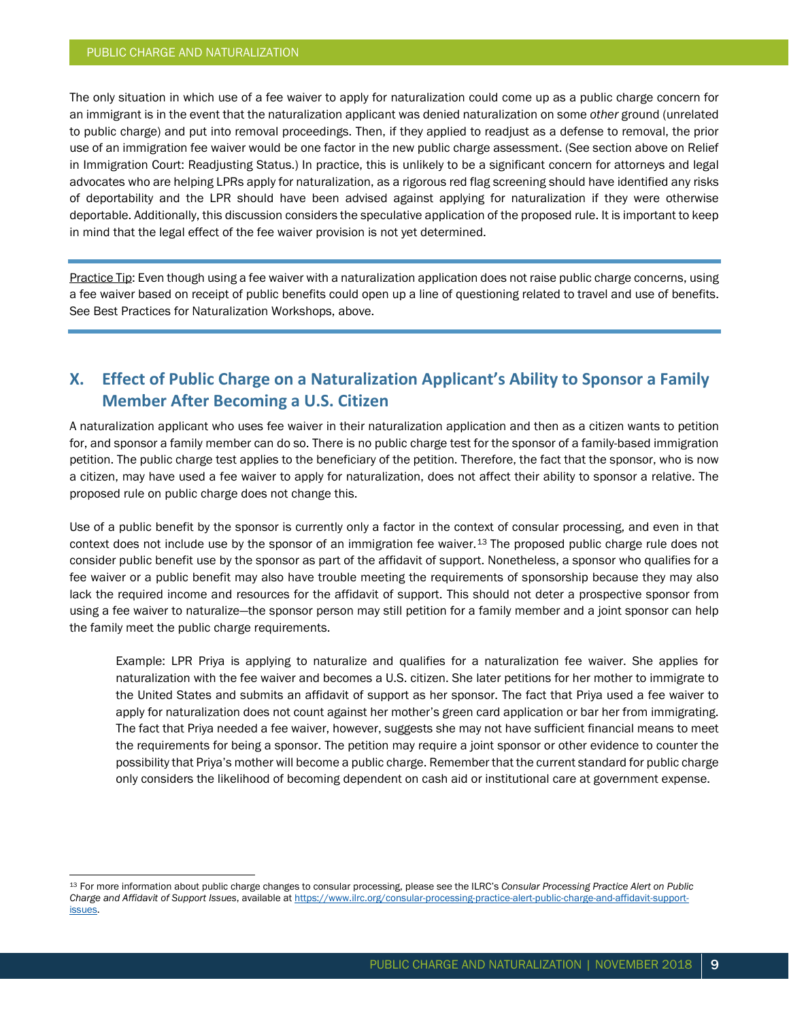The only situation in which use of a fee waiver to apply for naturalization could come up as a public charge concern for an immigrant is in the event that the naturalization applicant was denied naturalization on some *other* ground (unrelated to public charge) and put into removal proceedings. Then, if they applied to readjust as a defense to removal, the prior use of an immigration fee waiver would be one factor in the new public charge assessment. (See section above on Relief in Immigration Court: Readjusting Status.) In practice, this is unlikely to be a significant concern for attorneys and legal advocates who are helping LPRs apply for naturalization, as a rigorous red flag screening should have identified any risks of deportability and the LPR should have been advised against applying for naturalization if they were otherwise deportable. Additionally, this discussion considers the speculative application of the proposed rule. It is important to keep in mind that the legal effect of the fee waiver provision is not yet determined.

Practice Tip: Even though using a fee waiver with a naturalization application does not raise public charge concerns, using a fee waiver based on receipt of public benefits could open up a line of questioning related to travel and use of benefits. See Best Practices for Naturalization Workshops, above.

# **X. Effect of Public Charge on a Naturalization Applicant's Ability to Sponsor a Family Member After Becoming a U.S. Citizen**

A naturalization applicant who uses fee waiver in their naturalization application and then as a citizen wants to petition for, and sponsor a family member can do so. There is no public charge test for the sponsor of a family-based immigration petition. The public charge test applies to the beneficiary of the petition. Therefore, the fact that the sponsor, who is now a citizen, may have used a fee waiver to apply for naturalization, does not affect their ability to sponsor a relative. The proposed rule on public charge does not change this.

Use of a public benefit by the sponsor is currently only a factor in the context of consular processing, and even in that context does not include use by the sponsor of an immigration fee waiver.[13](#page-8-0) The proposed public charge rule does not consider public benefit use by the sponsor as part of the affidavit of support. Nonetheless, a sponsor who qualifies for a fee waiver or a public benefit may also have trouble meeting the requirements of sponsorship because they may also lack the required income and resources for the affidavit of support. This should not deter a prospective sponsor from using a fee waiver to naturalize—the sponsor person may still petition for a family member and a joint sponsor can help the family meet the public charge requirements.

Example: LPR Priya is applying to naturalize and qualifies for a naturalization fee waiver. She applies for naturalization with the fee waiver and becomes a U.S. citizen. She later petitions for her mother to immigrate to the United States and submits an affidavit of support as her sponsor. The fact that Priya used a fee waiver to apply for naturalization does not count against her mother's green card application or bar her from immigrating. The fact that Priya needed a fee waiver, however, suggests she may not have sufficient financial means to meet the requirements for being a sponsor. The petition may require a joint sponsor or other evidence to counter the possibility that Priya's mother will become a public charge. Remember that the current standard for public charge only considers the likelihood of becoming dependent on cash aid or institutional care at government expense.

<span id="page-8-0"></span> <sup>13</sup> For more information about public charge changes to consular processing, please see the ILRC's *Consular Processing Practice Alert on Public Charge and Affidavit of Support Issues*, available a[t https://www.ilrc.org/consular-processing-practice-alert-public-charge-and-affidavit-support](https://www.ilrc.org/consular-processing-practice-alert-public-charge-and-affidavit-support-issues)[issues.](https://www.ilrc.org/consular-processing-practice-alert-public-charge-and-affidavit-support-issues)